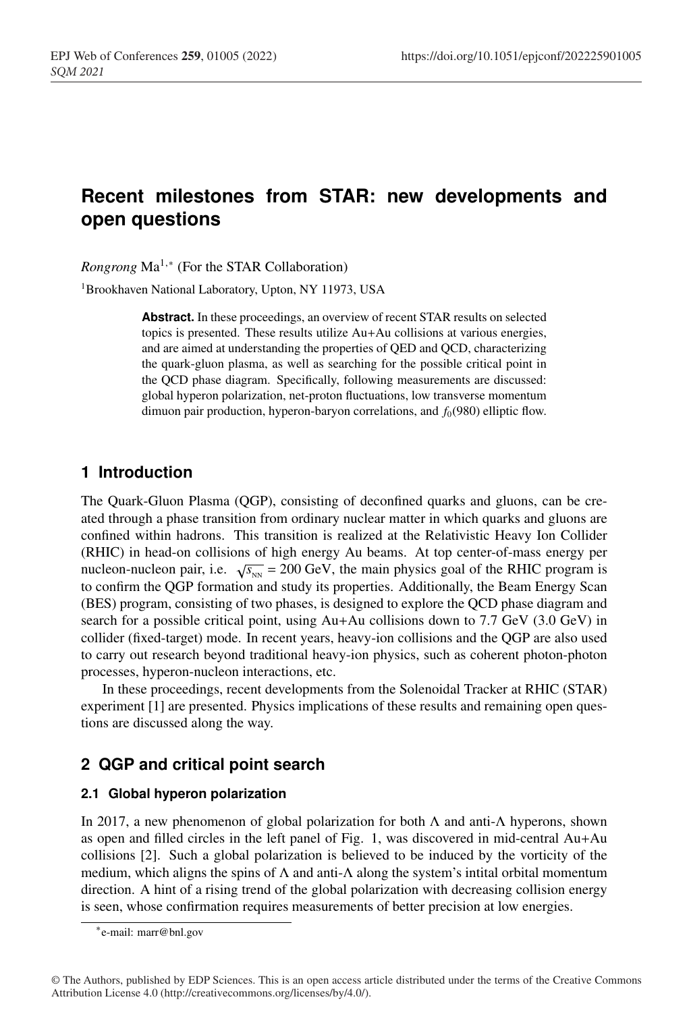# <sup>1</sup> **Recent milestones from STAR: new developments and** <sup>2</sup> **open questions**

*Rongrong* Ma<sup>1,∗</sup> (For the STAR Collaboration)

<sup>1</sup> Brookhaven National Laboratory, Upton, NY 11973, USA

Abstract. In these proceedings, an overview of recent STAR results on selected topics is presented. These results utilize Au+Au collisions at various energies, and are aimed at understanding the properties of QED and QCD, characterizing <sup>8</sup> the quark-gluon plasma, as well as searching for the possible critical point in the QCD phase diagram. Specifically, following measurements are discussed: <sup>10</sup> global hyperon polarization, net-proton fluctuations, low transverse momentum dimuon pair production, hyperon-baryon correlations, and  $f_0(980)$  elliptic flow.

# <sup>12</sup> **1 Introduction**

<sup>13</sup> The Quark-Gluon Plasma (QGP), consisting of deconfined quarks and gluons, can be created through a phase transition from ordinary nuclear matter in which quarks and gluons are confined within hadrons. This transition is realized at the Relativistic Heavy Ion Collider <sup>16</sup> (RHIC) in head-on collisions of high energy Au beams. At top center-of-mass energy per nucleon-nucleon pair, i.e.  $\sqrt{s_{NN}} = 200 \text{ GeV}$ , the main physics goal of the RHIC program is to confirm the QGP formation and study its properties. Additionally, the Beam Energy Scan <sup>19</sup> (BES) program, consisting of two phases, is designed to explore the QCD phase diagram and search for a possible critical point, using  $Au+Au$  collisions down to 7.7 GeV (3.0 GeV) in <sup>21</sup> collider (fixed-target) mode. In recent years, heavy-ion collisions and the QGP are also used to carry out research beyond traditional heavy-ion physics, such as coherent photon-photon processes, hyperon-nucleon interactions, etc.

<sup>24</sup> In these proceedings, recent developments from the Solenoidal Tracker at RHIC (STAR) experiment [1] are presented. Physics implications of these results and remaining open questions are discussed along the way.

# <sup>27</sup> **2 QGP and critical point search**

## <sup>28</sup> **2.1 Global hyperon polarization**

In 2017, a new phenomenon of global polarization for both  $\Lambda$  and anti- $\Lambda$  hyperons, shown as open and filled circles in the left panel of Fig. 1, was discovered in mid-central  $Au+Au$ <sup>31</sup> collisions [2]. Such a global polarization is believed to be induced by the vorticity of the medium, which aligns the spins of  $\Lambda$  and anti- $\Lambda$  along the system's intital orbital momentum direction. A hint of a rising trend of the global polarization with decreasing collision energy is seen, whose confirmation requires measurements of better precision at low energies.

<sup>∗</sup>e-mail: marr@bnl.gov

<sup>©</sup> The Authors, published by EDP Sciences. This is an open access article distributed under the terms of the Creative Commons Attribution License 4.0 (http://creativecommons.org/licenses/by/4.0/).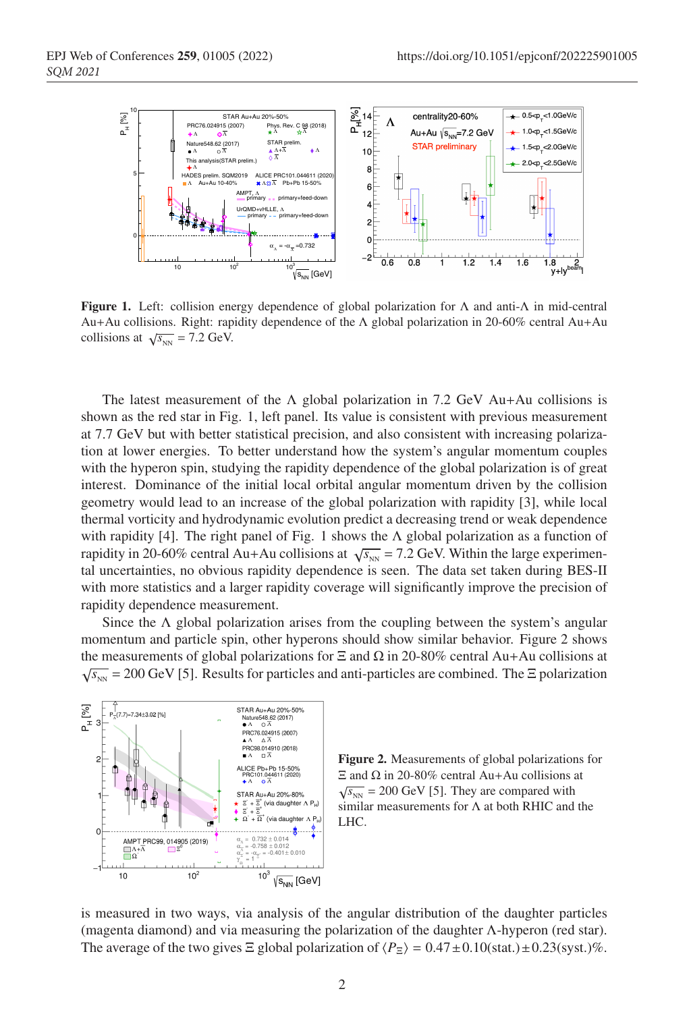

Figure 1. Left: collision energy dependence of global polarization for  $\Lambda$  and anti- $\Lambda$  in mid-central Au+Au collisions. Right: rapidity dependence of the Λ global polarization in 20-60% central Au+Au collisions at  $\sqrt{s_{NN}}$  = 7.2 GeV.

The latest measurement of the  $\Lambda$  global polarization in 7.2 GeV Au+Au collisions is shown as the red star in Fig. 1, left panel. Its value is consistent with previous measurement at 7.7 GeV but with better statistical precision, and also consistent with increasing polarization at lower energies. To better understand how the system's angular momentum couples with the hyperon spin, studying the rapidity dependence of the global polarization is of great <sup>40</sup> interest. Dominance of the initial local orbital angular momentum driven by the collision <sup>41</sup> geometry would lead to an increase of the global polarization with rapidity [3], while local thermal vorticity and hydrodynamic evolution predict a decreasing trend or weak dependence with rapidity [4]. The right panel of Fig. 1 shows the  $\Lambda$  global polarization as a function of rapidity in 20-60% central Au+Au collisions at  $\sqrt{s_{NN}}$  = 7.2 GeV. Within the large experimental uncertainties, no obvious rapidity dependence is seen. The data set taken during BES-II with more statistics and a larger rapidity coverage will significantly improve the precision of rapidity dependence measurement.

Since the  $\Lambda$  global polarization arises from the coupling between the system's angular momentum and particle spin, other hyperons should show similar behavior. Figure 2 shows the measurements of global polarizations for  $\Xi$  and  $\Omega$  in 20-80% central Au+Au collisions at  $\sqrt{s_{_{NN}}}$  = 200 GeV [5]. Results for particles and anti-particles are combined. The  $\Xi$  polarization





is measured in two ways, via analysis of the angular distribution of the daughter particles <sup>53</sup> (magenta diamond) and via measuring the polarization of the daughter Λ-hyperon (red star). The average of the two gives  $\Xi$  global polarization of  $\langle P_{\Xi} \rangle = 0.47 \pm 0.10$ (stat.) $\pm 0.23$ (syst.)%.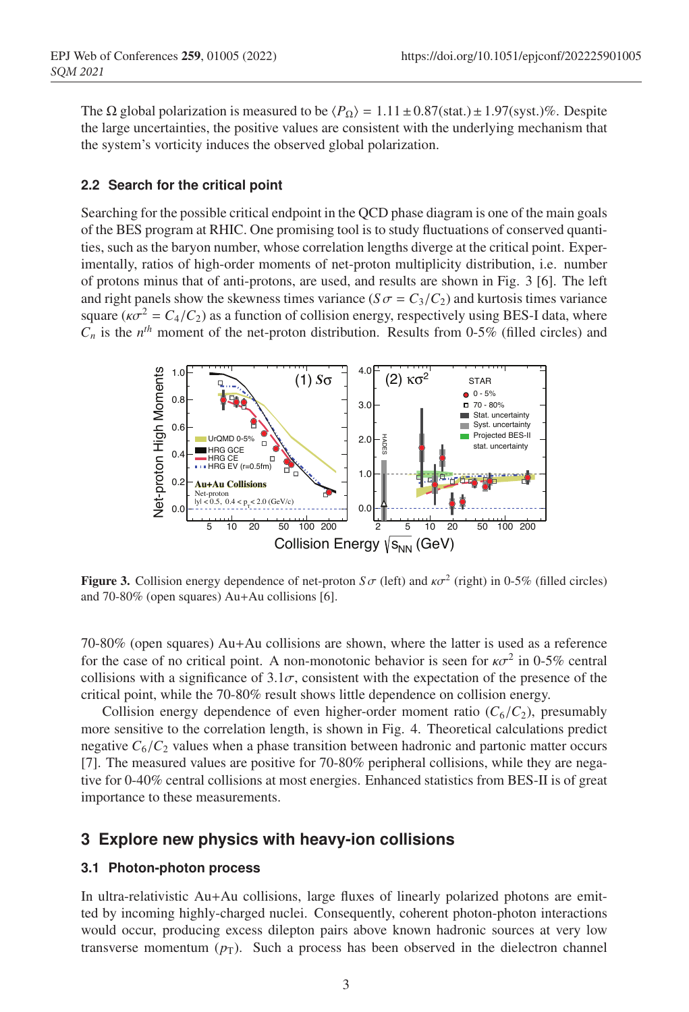The  $\Omega$  global polarization is measured to be  $\langle P_{\Omega} \rangle = 1.11 \pm 0.87 \text{(stat.)} \pm 1.97 \text{(syst.)}$ %. Despite <sup>56</sup> the large uncertainties, the positive values are consistent with the underlying mechanism that the system's vorticity induces the observed global polarization.

### <sup>58</sup> **2.2 Search for the critical point**

Searching for the possible critical endpoint in the QCD phase diagram is one of the main goals of the BES program at RHIC. One promising tool is to study fluctuations of conserved quantities, such as the baryon number, whose correlation lengths diverge at the critical point. Experimentally, ratios of high-order moments of net-proton multiplicity distribution, i.e. number <sup>63</sup> of protons minus that of anti-protons, are used, and results are shown in Fig. 3 [6]. The left and right panels show the skewness times variance ( $S\sigma = C_3/C_2$ ) and kurtosis times variance square ( $\kappa \sigma^2 = C_4/C_2$ ) as a function of collision energy, respectively using BES-I data, where  $C_n$  is the  $n^{th}$  moment of the net-proton distribution. Results from 0-5% (filled circles) and



**Figure 3.** Collision energy dependence of net-proton  $S\sigma$  (left) and  $\kappa\sigma^2$  (right) in 0-5% (filled circles) and 70-80% (open squares) Au+Au collisions [6].

<sup>67</sup> 70-80% (open squares) Au+Au collisions are shown, where the latter is used as a reference for the case of no critical point. A non-monotonic behavior is seen for  $\kappa \sigma^2$  in 0-5% central collisions with a significance of  $3.1\sigma$ , consistent with the expectation of the presence of the <sup>70</sup> critical point, while the 70-80% result shows little dependence on collision energy.

Collision energy dependence of even higher-order moment ratio  $(C_6/C_2)$ , presumably more sensitive to the correlation length, is shown in Fig. 4. Theoretical calculations predict negative  $C_6/C_2$  values when a phase transition between hadronic and partonic matter occurs [7]. The measured values are positive for 70-80% peripheral collisions, while they are negative for 0-40% central collisions at most energies. Enhanced statistics from BES-II is of great importance to these measurements.

# <sup>77</sup> **3 Explore new physics with heavy-ion collisions**

#### <sup>78</sup> **3.1 Photon-photon process**

<sup>79</sup> In ultra-relativistic Au+Au collisions, large fluxes of linearly polarized photons are emit-<sup>80</sup> ted by incoming highly-charged nuclei. Consequently, coherent photon-photon interactions would occur, producing excess dilepton pairs above known hadronic sources at very low transverse momentum  $(p_T)$ . Such a process has been observed in the dielectron channel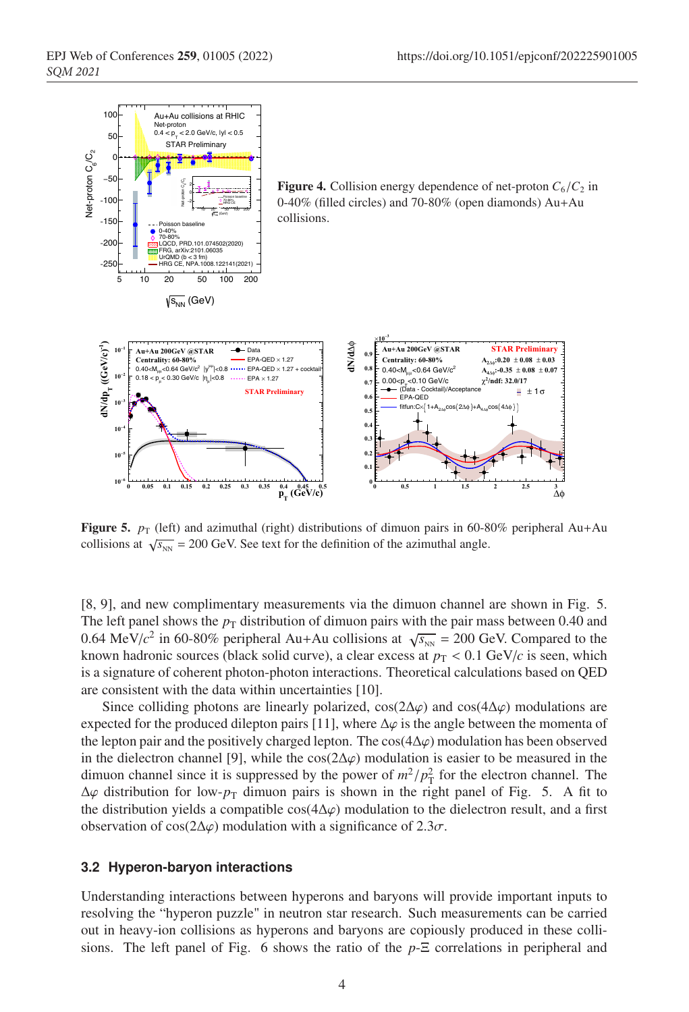

**Figure 5.**  $p_T$  (left) and azimuthal (right) distributions of dimuon pairs in 60-80% peripheral Au+Au collisions at  $\sqrt{s_{NN}}$  = 200 GeV. See text for the definition of the azimuthal angle.

<sup>83</sup> [8, 9], and new complimentary measurements via the dimuon channel are shown in Fig. 5. The left panel shows the  $p_T$  distribution of dimuon pairs with the pair mass between 0.40 and 0.64 MeV/ $c^2$  in 60-80% peripheral Au+Au collisions at  $\sqrt{s_{_{NN}}}$  = 200 GeV. Compared to the known hadronic sources (black solid curve), a clear excess at  $p<sub>T</sub> < 0.1$  GeV/*c* is seen, which is a signature of coherent photon-photon interactions. Theoretical calculations based on OED are consistent with the data within uncertainties [10].

Since colliding photons are linearly polarized, cos( $2\Delta\varphi$ ) and cos( $4\Delta\varphi$ ) modulations are expected for the produced dilepton pairs [11], where  $\Delta\varphi$  is the angle between the momenta of the lepton pair and the positively charged lepton. The cos( $4\Delta\varphi$ ) modulation has been observed in the dielectron channel [9], while the cos( $2\Delta\varphi$ ) modulation is easier to be measured in the dimuon channel since it is suppressed by the power of  $m^2/p_T^2$  for the electron channel. The  $\Delta\varphi$  distribution for low- $p_T$  dimuon pairs is shown in the right panel of Fig. 5. A fit to the distribution yields a compatible cos( $4\Delta\varphi$ ) modulation to the dielectron result, and a first observation of cos( $2\Delta\varphi$ ) modulation with a significance of 2.3 $\sigma$ .

#### <sup>97</sup> **3.2 Hyperon-baryon interactions**

Understanding interactions between hyperons and baryons will provide important inputs to resolving the "hyperon puzzle" in neutron star research. Such measurements can be carried <sup>100</sup> out in heavy-ion collisions as hyperons and baryons are copiously produced in these collisions. The left panel of Fig. 6 shows the ratio of the  $p-\Xi$  correlations in peripheral and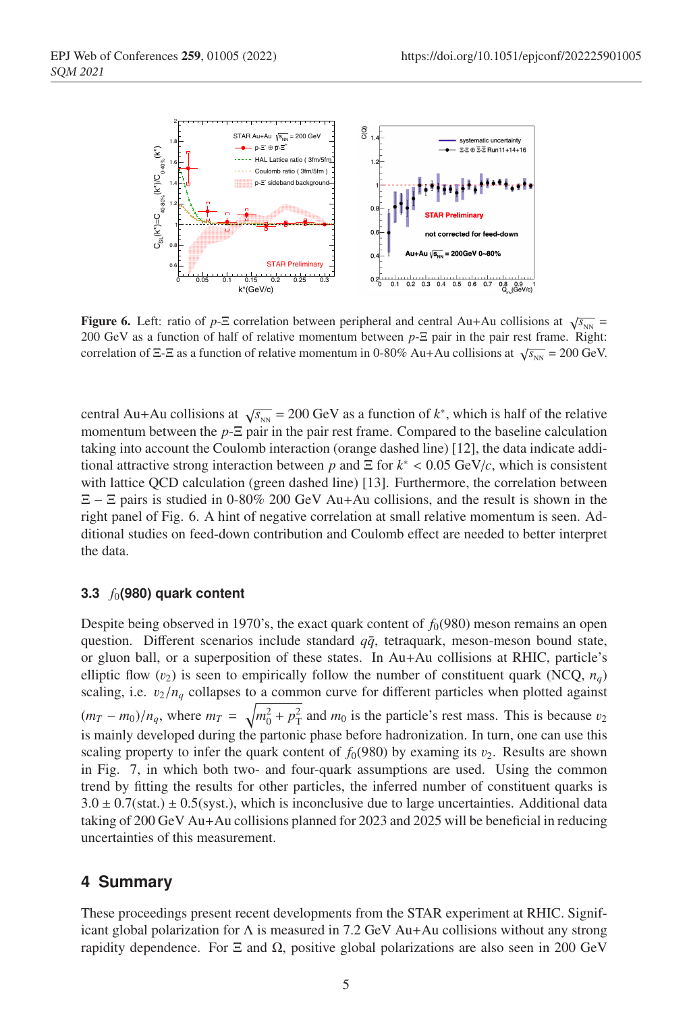

**Figure 6.** Left: ratio of *p*- $\Xi$  correlation between peripheral and central Au+Au collisions at  $\sqrt{s_{_{NN}}}$  = 200 GeV as a function of half of relative momentum between *p*-Ξ pair in the pair rest frame. Right: correlation of Ξ-Ξ as a function of relative momentum in 0-80% Au+Au collisions at  $\sqrt{s_{NN}}$  = 200 GeV.

central Au+Au collisions at  $\sqrt{s_{NN}}$  = 200 GeV as a function of  $k^*$ , which is half of the relative momentum between the  $p$ - $\Xi$  pair in the pair rest frame. Compared to the baseline calculation taking into account the Coulomb interaction (orange dashed line) [12], the data indicate additional attractive strong interaction between *p* and  $\Xi$  for  $k^*$  < 0.05 GeV/*c*, which is consistent with lattice QCD calculation (green dashed line) [13]. Furthermore, the correlation between  $E - E$  pairs is studied in 0-80% 200 GeV Au+Au collisions, and the result is shown in the right panel of Fig. 6. A hint of negative correlation at small relative momentum is seen. Ad-<sup>109</sup> ditional studies on feed-down contribution and Coulomb effect are needed to better interpret the data.

#### <sup>111</sup> **3.3** *f*0**(980) quark content**

Despite being observed in 1970's, the exact quark content of  $f_0(980)$  meson remains an open question. Different scenarios include standard  $q\bar{q}$ , tetraquark, meson-meson bound state, or gluon ball, or a superposition of these states. In Au+Au collisions at RHIC, particle's elliptic flow  $(v_2)$  is seen to empirically follow the number of constituent quark (NCQ,  $n_q$ ) scaling, i.e.  $v_2/n_q$  collapses to a common curve for different particles when plotted against  $(m_T - m_0)/n_q$ , where  $m_T = \sqrt{m_0^2 + p_T^2}$  and  $m_0$  is the particle's rest mass. This is because  $v_2$ is mainly developed during the partonic phase before hadronization. In turn, one can use this scaling property to infer the quark content of  $f_0(980)$  by examing its  $v_2$ . Results are shown in Fig. 7, in which both two- and four-quark assumptions are used. Using the common <sup>121</sup> trend by fitting the results for other particles, the inferred number of constituent quarks is  $3.0 \pm 0.7$ (stat.)  $\pm 0.5$ (syst.), which is inconclusive due to large uncertainties. Additional data taking of  $200$  GeV Au+Au collisions planned for  $2023$  and  $2025$  will be beneficial in reducing uncertainties of this measurement.

## <sup>125</sup> **4 Summary**

These proceedings present recent developments from the STAR experiment at RHIC. Significant global polarization for  $\Lambda$  is measured in 7.2 GeV Au+Au collisions without any strong rapidity dependence. For Ξ and Ω, positive global polarizations are also seen in 200 GeV